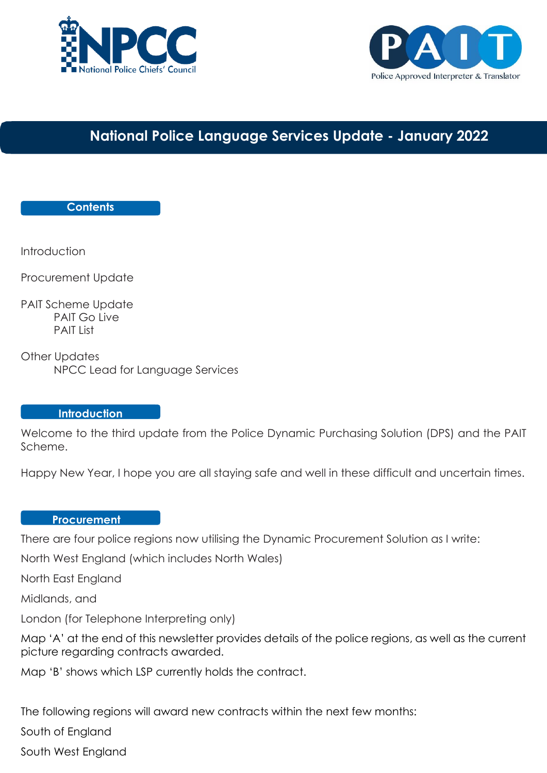



## **National Police Language Services Update - January 2022**

#### **Contents**

**Introduction** 

Procurement Update

PAIT Scheme Update PAIT Go Live PAIT List

Other Updates NPCC Lead for Language Services

#### **Introduction**

Welcome to the third update from the Police Dynamic Purchasing Solution (DPS) and the PAIT Scheme.

Happy New Year, I hope you are all staying safe and well in these difficult and uncertain times.

#### **Procurement**

There are four police regions now utilising the Dynamic Procurement Solution as I write: **Update**

North West England (which includes North Wales)

North East England

Midlands, and

London (for Telephone Interpreting only)

Map 'A' at the end of this newsletter provides details of the police regions, as well as the current picture regarding contracts awarded.

Map 'B' shows which LSP currently holds the contract.

The following regions will award new contracts within the next few months:

South of England

South West England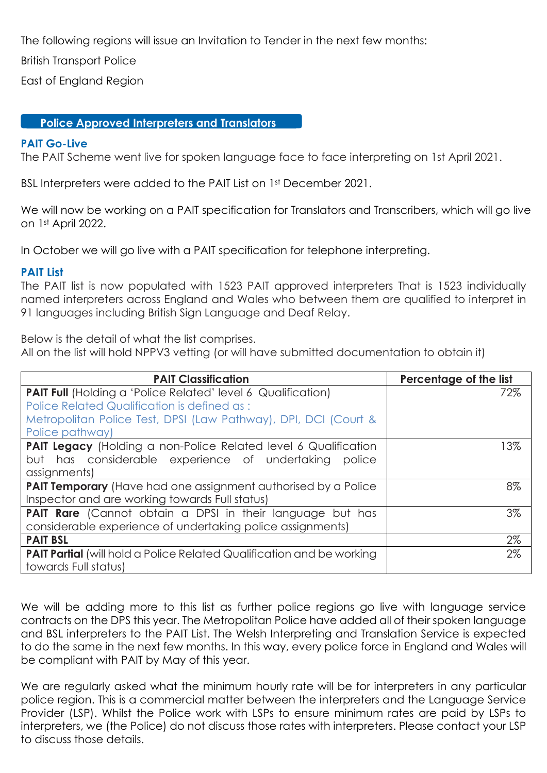The following regions will issue an Invitation to Tender in the next few months:

British Transport Police

East of England Region

#### **Police Approved Interpreters and Translators**

# **PAIT Go-Live**

The PAIT Scheme went live for spoken language face to face interpreting on 1st April 2021.

BSL Interpreters were added to the PAIT List on 1st December 2021.

We will now be working on a PAIT specification for Translators and Transcribers, which will go live on 1st April 2022.

In October we will go live with a PAIT specification for telephone interpreting.

#### **PAIT List**

The PAIT list is now populated with 1523 PAIT approved interpreters That is 1523 individually named interpreters across England and Wales who between them are qualified to interpret in 91 languages including British Sign Language and Deaf Relay.

Below is the detail of what the list comprises.

All on the list will hold NPPV3 vetting (or will have submitted documentation to obtain it)

| <b>PAIT Classification</b>                                                   | Percentage of the list |
|------------------------------------------------------------------------------|------------------------|
| <b>PAIT Full</b> (Holding a 'Police Related' level 6 Qualification)          | 72%                    |
| Police Related Qualification is defined as:                                  |                        |
| Metropolitan Police Test, DPSI (Law Pathway), DPI, DCI (Court &              |                        |
| Police pathway)                                                              |                        |
| <b>PAIT Legacy</b> (Holding a non-Police Related level 6 Qualification       | 13%                    |
| but has considerable experience of undertaking police                        |                        |
| assignments)                                                                 |                        |
| PAIT Temporary (Have had one assignment authorised by a Police               | 8%                     |
| Inspector and are working towards Full status)                               |                        |
| PAIT Rare (Cannot obtain a DPSI in their language but has                    | 3%                     |
| considerable experience of undertaking police assignments)                   |                        |
| <b>PAIT BSL</b>                                                              | 2%                     |
| <b>PAIT Partial</b> (will hold a Police Related Qualification and be working | 2%                     |
| towards Full status)                                                         |                        |

We will be adding more to this list as further police regions go live with language service contracts on the DPS this year. The Metropolitan Police have added all of their spoken language and BSL interpreters to the PAIT List. The Welsh Interpreting and Translation Service is expected to do the same in the next few months. In this way, every police force in England and Wales will be compliant with PAIT by May of this year.

We are regularly asked what the minimum hourly rate will be for interpreters in any particular police region. This is a commercial matter between the interpreters and the Language Service Provider (LSP). Whilst the Police work with LSPs to ensure minimum rates are paid by LSPs to interpreters, we (the Police) do not discuss those rates with interpreters. Please contact your LSP to discuss those details.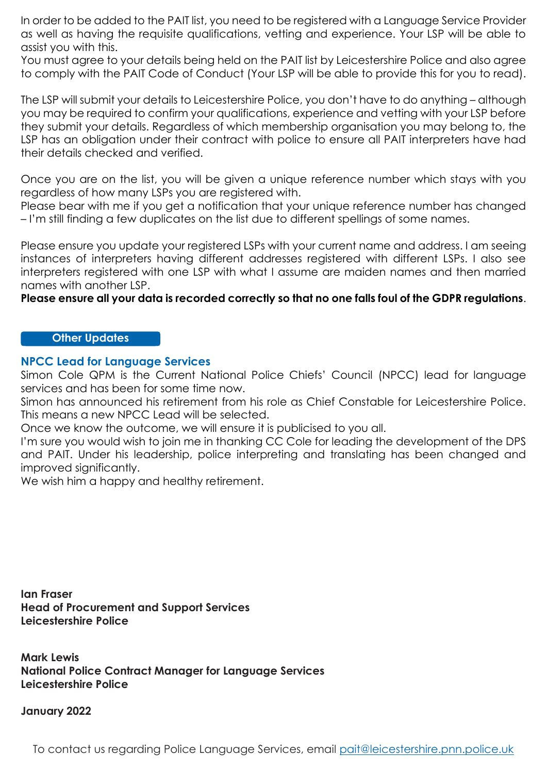In order to be added to the PAIT list, you need to be registered with a Language Service Provider as well as having the requisite qualifications, vetting and experience. Your LSP will be able to assist you with this.

You must agree to your details being held on the PAIT list by Leicestershire Police and also agree to comply with the PAIT Code of Conduct (Your LSP will be able to provide this for you to read).

The LSP will submit your details to Leicestershire Police, you don't have to do anything – although you may be required to confirm your qualifications, experience and vetting with your LSP before they submit your details. Regardless of which membership organisation you may belong to, the LSP has an obligation under their contract with police to ensure all PAIT interpreters have had their details checked and verified.

Once you are on the list, you will be given a unique reference number which stays with you regardless of how many LSPs you are registered with.

Please bear with me if you get a notification that your unique reference number has changed – I'm still finding a few duplicates on the list due to different spellings of some names.

Please ensure you update your registered LSPs with your current name and address. I am seeing instances of interpreters having different addresses registered with different LSPs. I also see interpreters registered with one LSP with what I assume are maiden names and then married names with another LSP.

**Please ensure all your data is recorded correctly so that no one falls foul of the GDPR regulations**.

#### **Other Updates**

#### **NPCC Lead for Language Services**

Simon Cole QPM is the Current National Police Chiefs' Council (NPCC) lead for language services and has been for some time now.

Simon has announced his retirement from his role as Chief Constable for Leicestershire Police. This means a new NPCC Lead will be selected.

Once we know the outcome, we will ensure it is publicised to you all.

I'm sure you would wish to join me in thanking CC Cole for leading the development of the DPS and PAIT. Under his leadership, police interpreting and translating has been changed and improved significantly.

We wish him a happy and healthy retirement.

**Ian Fraser Head of Procurement and Support Services Leicestershire Police**

**Mark Lewis National Police Contract Manager for Language Services Leicestershire Police**

#### **January 2022**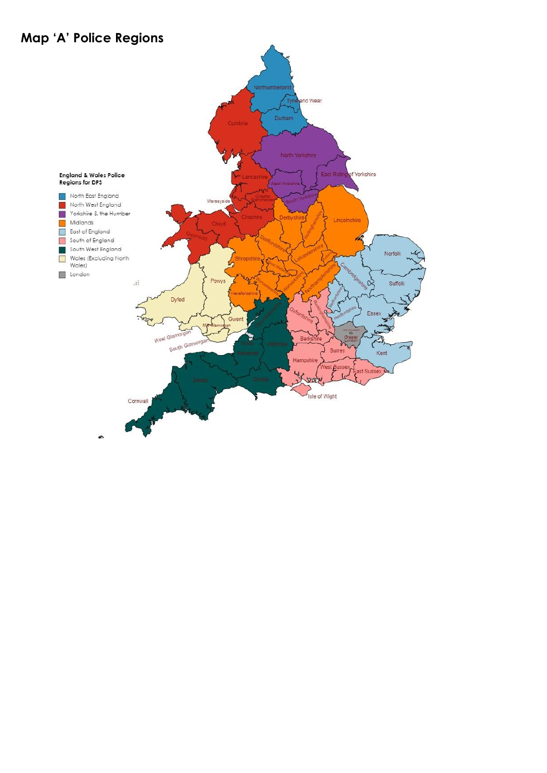## **Map 'A' Police Regions**

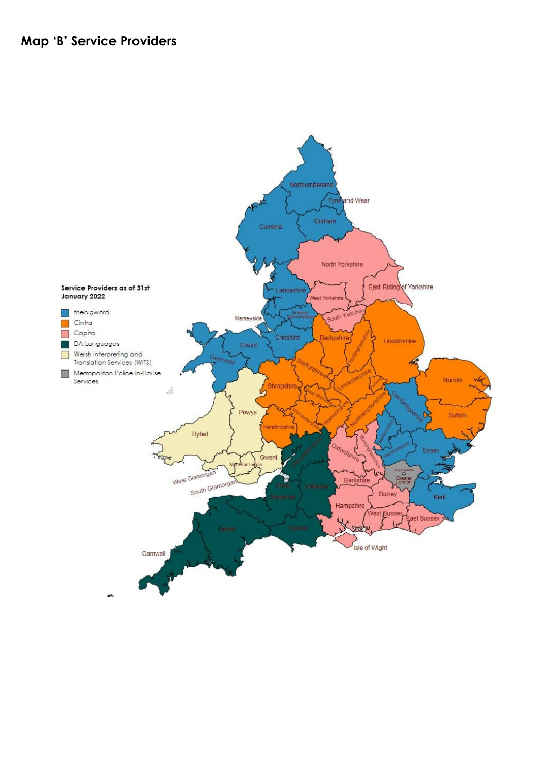### Map 'B' Service Providers